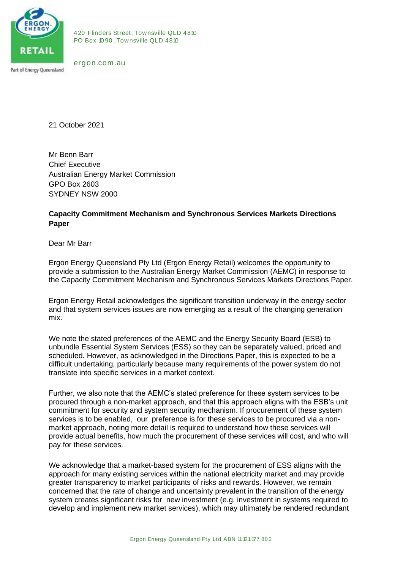

420 Flinders Street, Townsville QLD 4810<br>PO Box 1090, Townsville QLD 4810 420 Flinders Street, Townsville QLI<br>PO Box 1090, Townsville QLD 4810 420 Flinders Stre<br>PO Box 1090, Tov<br>ergon.com .au

21 October 2021

Mr Benn Barr Chief Executive Australian Energy Market Commission GPO Box 2603 SYDNEY NSW 2000

## **Capacity Commitment Mechanism and Synchronous Services Markets Directions Paper**

Dear Mr Barr

Ergon Energy Queensland Pty Ltd (Ergon Energy Retail) welcomes the opportunity to provide a submission to the Australian Energy Market Commission (AEMC) in response to the Capacity Commitment Mechanism and Synchronous Services Markets Directions Paper.

Ergon Energy Retail acknowledges the significant transition underway in the energy sector and that system services issues are now emerging as a result of the changing generation mix.

We note the stated preferences of the AEMC and the Energy Security Board (ESB) to unbundle Essential System Services (ESS) so they can be separately valued, priced and scheduled. However, as acknowledged in the Directions Paper, this is expected to be a difficult undertaking, particularly because many requirements of the power system do not translate into specific services in a market context.

Further, we also note that the AEMC's stated preference for these system services to be procured through a non-market approach, and that this approach aligns with the ESB's unit commitment for security and system security mechanism. If procurement of these system services is to be enabled, our preference is for these services to be procured via a nonmarket approach, noting more detail is required to understand how these services will provide actual benefits, how much the procurement of these services will cost, and who will pay for these services.

nt risks for new investment (e.g. investment<br>hew market services), which may ultimately<br>Ergon Energy Queensland Pty Ltd ABN 11 121 177 802 We acknowledge that a market-based system for the procurement of ESS aligns with the approach for many existing services within the national electricity market and may provide greater transparency to market participants of risks and rewards. However, we remain concerned that the rate of change and uncertainty prevalent in the transition of the energy system creates significant risks for new investment (e.g. investment in systems required to develop and implement new market services), which may ultimately be rendered redundant